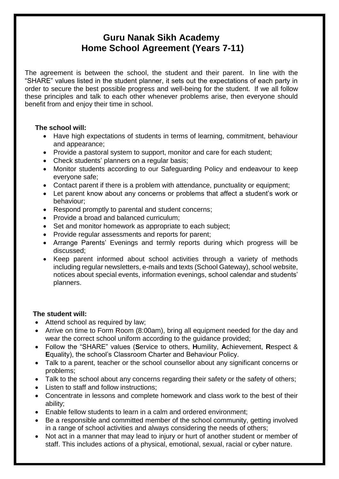## **Guru Nanak Sikh Academy Home School Agreement (Years 7-11)**

The agreement is between the school, the student and their parent. In line with the "SHARE" values listed in the student planner, it sets out the expectations of each party in order to secure the best possible progress and well-being for the student. If we all follow these principles and talk to each other whenever problems arise, then everyone should benefit from and enjoy their time in school.

## **The school will:**

- Have high expectations of students in terms of learning, commitment, behaviour and appearance;
- Provide a pastoral system to support, monitor and care for each student;
- Check students' planners on a regular basis:
- Monitor students according to our Safeguarding Policy and endeavour to keep everyone safe;
- Contact parent if there is a problem with attendance, punctuality or equipment;
- Let parent know about any concerns or problems that affect a student's work or behaviour;
- Respond promptly to parental and student concerns;
- Provide a broad and balanced curriculum:
- Set and monitor homework as appropriate to each subject;
- Provide regular assessments and reports for parent:
- Arrange Parents' Evenings and termly reports during which progress will be discussed;
- Keep parent informed about school activities through a variety of methods including regular newsletters, e-mails and texts (School Gateway), school website, notices about special events, information evenings, school calendar and students' planners.

## **The student will:**

- Attend school as required by law;
- Arrive on time to Form Room (8:00am), bring all equipment needed for the day and wear the correct school uniform according to the guidance provided;
- Follow the "SHARE" values (**S**ervice to others, **H**umility, **A**chievement, **R**espect & **E**quality), the school's Classroom Charter and Behaviour Policy.
- Talk to a parent, teacher or the school counsellor about any significant concerns or problems;
- Talk to the school about any concerns regarding their safety or the safety of others;
- Listen to staff and follow instructions;
- Concentrate in lessons and complete homework and class work to the best of their ability;
- Enable fellow students to learn in a calm and ordered environment;
- Be a responsible and committed member of the school community, getting involved in a range of school activities and always considering the needs of others;
- Not act in a manner that may lead to injury or hurt of another student or member of staff. This includes actions of a physical, emotional, sexual, racial or cyber nature.